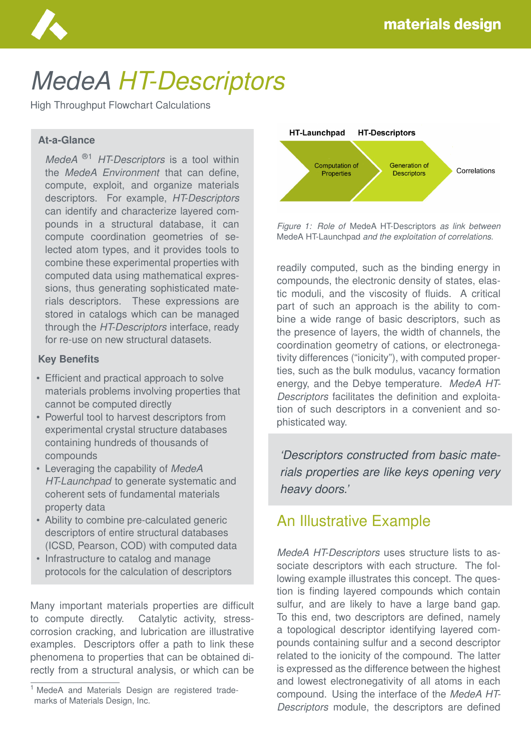

# *MedeA HT-Descriptors*

High Throughput Flowchart Calculations

#### **At-a-Glance**

*MedeA* ®1 *HT-Descriptors* is a tool within the *MedeA Environment* that can define, compute, exploit, and organize materials descriptors. For example, *HT-Descriptors* can identify and characterize layered compounds in a structural database, it can compute coordination geometries of selected atom types, and it provides tools to combine these experimental properties with computed data using mathematical expressions, thus generating sophisticated materials descriptors. These expressions are stored in catalogs which can be managed through the *HT-Descriptors* interface, ready for re-use on new structural datasets.

#### **Key Benefits**

- Efficient and practical approach to solve materials problems involving properties that cannot be computed directly
- Powerful tool to harvest descriptors from experimental crystal structure databases containing hundreds of thousands of compounds
- Leveraging the capability of *MedeA HT-Launchpad* to generate systematic and coherent sets of fundamental materials property data
- Ability to combine pre-calculated generic descriptors of entire structural databases (ICSD, Pearson, COD) with computed data
- Infrastructure to catalog and manage protocols for the calculation of descriptors

Many important materials properties are difficult to compute directly. Catalytic activity, stresscorrosion cracking, and lubrication are illustrative examples. Descriptors offer a path to link these phenomena to properties that can be obtained directly from a structural analysis, or which can be



*Figure 1: Role of* MedeA HT-Descriptors *as link between* MedeA HT-Launchpad *and the exploitation of correlations.*

readily computed, such as the binding energy in compounds, the electronic density of states, elastic moduli, and the viscosity of fluids. A critical part of such an approach is the ability to combine a wide range of basic descriptors, such as the presence of layers, the width of channels, the coordination geometry of cations, or electronegativity differences ("ionicity"), with computed properties, such as the bulk modulus, vacancy formation energy, and the Debye temperature. *MedeA HT-Descriptors* facilitates the definition and exploitation of such descriptors in a convenient and sophisticated way.

*'Descriptors constructed from basic materials properties are like keys opening very heavy doors.'*

## An Illustrative Example

*MedeA HT-Descriptors* uses structure lists to associate descriptors with each structure. The following example illustrates this concept. The question is finding layered compounds which contain sulfur, and are likely to have a large band gap. To this end, two descriptors are defined, namely a topological descriptor identifying layered compounds containing sulfur and a second descriptor related to the ionicity of the compound. The latter is expressed as the difference between the highest and lowest electronegativity of all atoms in each compound. Using the interface of the *MedeA HT-Descriptors* module, the descriptors are defined

<sup>&</sup>lt;sup>1</sup> MedeA and Materials Design are registered trademarks of Materials Design, Inc.